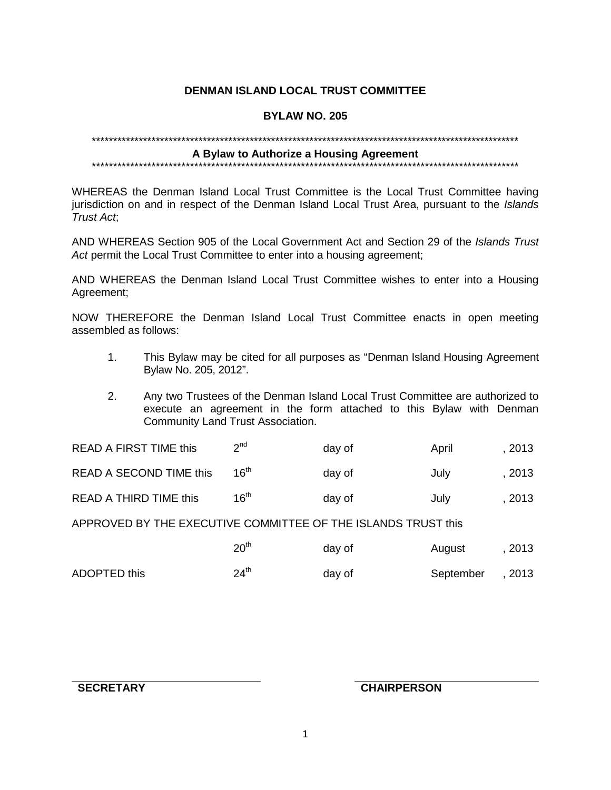# **DENMAN ISLAND LOCAL TRUST COMMITTEE**

# **BYLAW NO. 205**

# 

# A Bylaw to Authorize a Housing Agreement

#### \*\*\*\*\*\*\*\*\*\*\*\*\*\*\*\*\*\*\*\*\*\*\*\*\* \*\*\*\*\*\*\*\*\*\*\*\*\*\*\*\*\*\*\*\*\*\*\*\*\*\*\*\*\*\*

WHEREAS the Denman Island Local Trust Committee is the Local Trust Committee having jurisdiction on and in respect of the Denman Island Local Trust Area, pursuant to the Islands Trust Act.

AND WHEREAS Section 905 of the Local Government Act and Section 29 of the Islands Trust Act permit the Local Trust Committee to enter into a housing agreement;

AND WHEREAS the Denman Island Local Trust Committee wishes to enter into a Housing Agreement:

NOW THEREFORE the Denman Island Local Trust Committee enacts in open meeting assembled as follows:

- This Bylaw may be cited for all purposes as "Denman Island Housing Agreement  $1<sup>1</sup>$ Bylaw No. 205, 2012".
- $2.$ Any two Trustees of the Denman Island Local Trust Committee are authorized to execute an agreement in the form attached to this Bylaw with Denman Community Land Trust Association.

| <b>READ A FIRST TIME this</b> | 2 <sub>nd</sub>  | day of | April | 2013 |
|-------------------------------|------------------|--------|-------|------|
| READ A SECOND TIME this       | 16 <sup>th</sup> | day of | Julv  | 2013 |
| READ A THIRD TIME this        | 16 <sup>th</sup> | day of | July  | 2013 |

APPROVED BY THE EXECUTIVE COMMITTEE OF THE ISLANDS TRUST this

|              | 20 <sup>th</sup> | day of | August    | , 2013 |
|--------------|------------------|--------|-----------|--------|
| ADOPTED this | $24^{\text{th}}$ | day of | September | , 2013 |

**SECRETARY** 

# **CHAIRPERSON**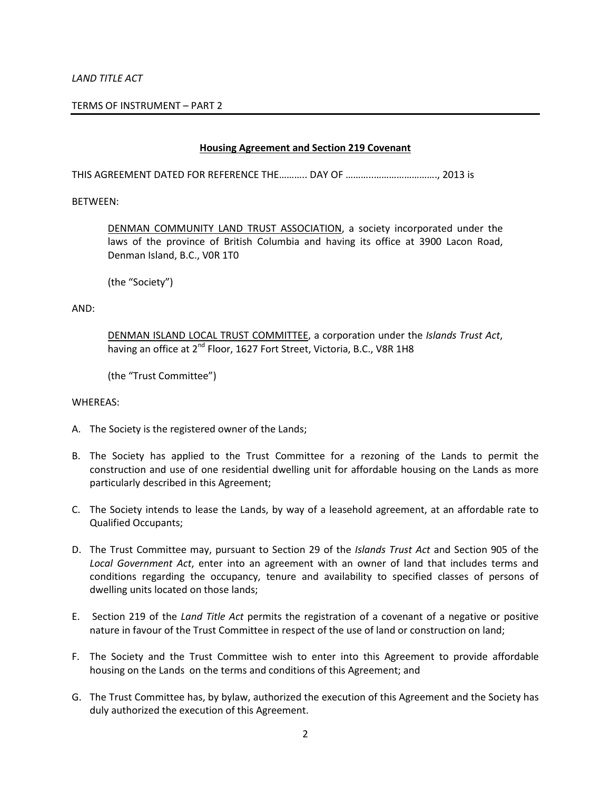#### *LAND TITLE ACT*

#### TERMS OF INSTRUMENT – PART 2

#### **Housing Agreement and Section 219 Covenant**

THIS AGREEMENT DATED FOR REFERENCE THE……….. DAY OF ………..……………………., 2013 is

#### BETWEEN:

DENMAN COMMUNITY LAND TRUST ASSOCIATION, a society incorporated under the laws of the province of British Columbia and having its office at 3900 Lacon Road, Denman Island, B.C., V0R 1T0

(the "Society")

AND:

DENMAN ISLAND LOCAL TRUST COMMITTEE, a corporation under the *Islands Trust Act*, having an office at 2<sup>nd</sup> Floor, 1627 Fort Street, Victoria, B.C., V8R 1H8

(the "Trust Committee")

#### WHEREAS:

- A. The Society is the registered owner of the Lands;
- B. The Society has applied to the Trust Committee for a rezoning of the Lands to permit the construction and use of one residential dwelling unit for affordable housing on the Lands as more particularly described in this Agreement;
- C. The Society intends to lease the Lands, by way of a leasehold agreement, at an affordable rate to Qualified Occupants;
- D. The Trust Committee may, pursuant to Section 29 of the *Islands Trust Act* and Section 905 of the *Local Government Act*, enter into an agreement with an owner of land that includes terms and conditions regarding the occupancy, tenure and availability to specified classes of persons of dwelling units located on those lands;
- E. Section 219 of the *Land Title Act* permits the registration of a covenant of a negative or positive nature in favour of the Trust Committee in respect of the use of land or construction on land;
- F. The Society and the Trust Committee wish to enter into this Agreement to provide affordable housing on the Lands on the terms and conditions of this Agreement; and
- G. The Trust Committee has, by bylaw, authorized the execution of this Agreement and the Society has duly authorized the execution of this Agreement.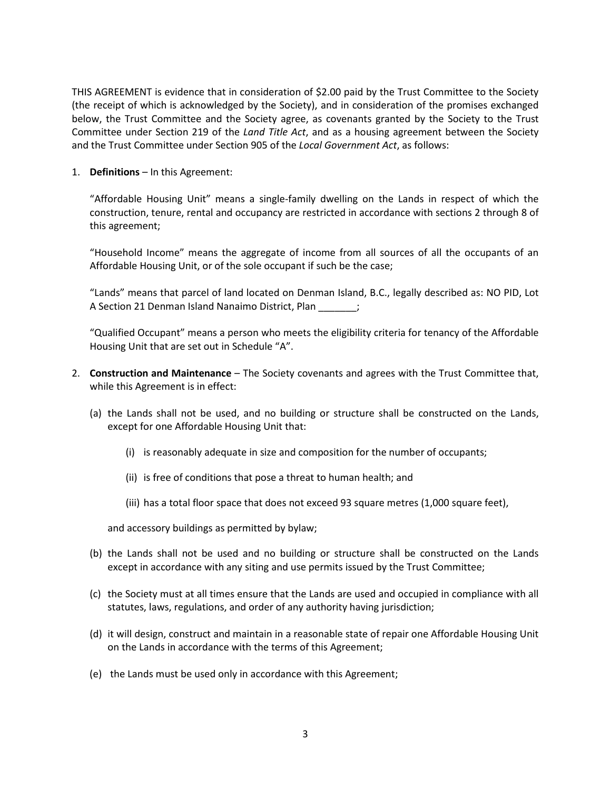THIS AGREEMENT is evidence that in consideration of \$2.00 paid by the Trust Committee to the Society (the receipt of which is acknowledged by the Society), and in consideration of the promises exchanged below, the Trust Committee and the Society agree, as covenants granted by the Society to the Trust Committee under Section 219 of the *Land Title Act*, and as a housing agreement between the Society and the Trust Committee under Section 905 of the *Local Government Act*, as follows:

1. **Definitions** – In this Agreement:

"Affordable Housing Unit" means a single-family dwelling on the Lands in respect of which the construction, tenure, rental and occupancy are restricted in accordance with sections 2 through 8 of this agreement;

"Household Income" means the aggregate of income from all sources of all the occupants of an Affordable Housing Unit, or of the sole occupant if such be the case;

"Lands" means that parcel of land located on Denman Island, B.C., legally described as: NO PID, Lot A Section 21 Denman Island Nanaimo District, Plan

"Qualified Occupant" means a person who meets the eligibility criteria for tenancy of the Affordable Housing Unit that are set out in Schedule "A".

- 2. **Construction and Maintenance** The Society covenants and agrees with the Trust Committee that, while this Agreement is in effect:
	- (a) the Lands shall not be used, and no building or structure shall be constructed on the Lands, except for one Affordable Housing Unit that:
		- (i) is reasonably adequate in size and composition for the number of occupants;
		- (ii) is free of conditions that pose a threat to human health; and
		- (iii) has a total floor space that does not exceed 93 square metres (1,000 square feet),

and accessory buildings as permitted by bylaw;

- (b) the Lands shall not be used and no building or structure shall be constructed on the Lands except in accordance with any siting and use permits issued by the Trust Committee;
- (c) the Society must at all times ensure that the Lands are used and occupied in compliance with all statutes, laws, regulations, and order of any authority having jurisdiction;
- (d) it will design, construct and maintain in a reasonable state of repair one Affordable Housing Unit on the Lands in accordance with the terms of this Agreement;
- (e) the Lands must be used only in accordance with this Agreement;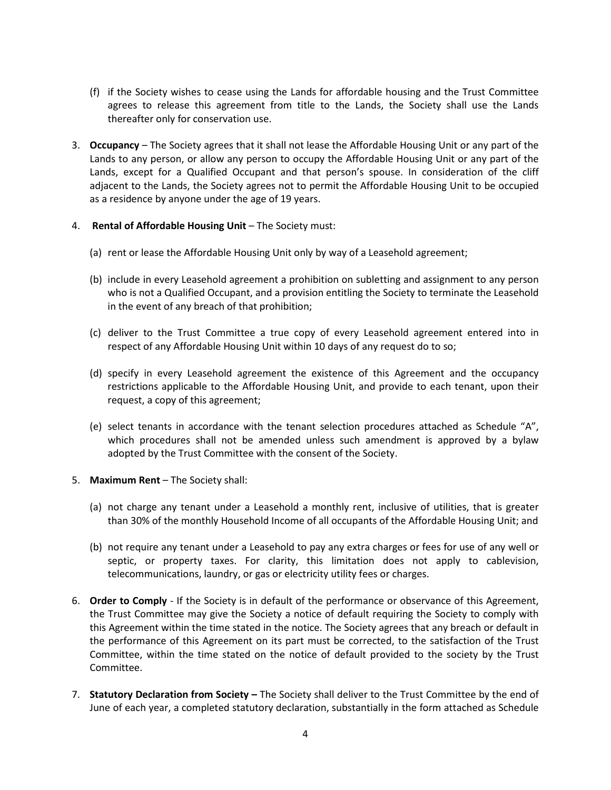- (f) if the Society wishes to cease using the Lands for affordable housing and the Trust Committee agrees to release this agreement from title to the Lands, the Society shall use the Lands thereafter only for conservation use.
- 3. **Occupancy** The Society agrees that it shall not lease the Affordable Housing Unit or any part of the Lands to any person, or allow any person to occupy the Affordable Housing Unit or any part of the Lands, except for a Qualified Occupant and that person's spouse. In consideration of the cliff adjacent to the Lands, the Society agrees not to permit the Affordable Housing Unit to be occupied as a residence by anyone under the age of 19 years.
- 4. **Rental of Affordable Housing Unit** The Society must:
	- (a) rent or lease the Affordable Housing Unit only by way of a Leasehold agreement;
	- (b) include in every Leasehold agreement a prohibition on subletting and assignment to any person who is not a Qualified Occupant, and a provision entitling the Society to terminate the Leasehold in the event of any breach of that prohibition;
	- (c) deliver to the Trust Committee a true copy of every Leasehold agreement entered into in respect of any Affordable Housing Unit within 10 days of any request do to so;
	- (d) specify in every Leasehold agreement the existence of this Agreement and the occupancy restrictions applicable to the Affordable Housing Unit, and provide to each tenant, upon their request, a copy of this agreement;
	- (e) select tenants in accordance with the tenant selection procedures attached as Schedule "A", which procedures shall not be amended unless such amendment is approved by a bylaw adopted by the Trust Committee with the consent of the Society.
- 5. **Maximum Rent** The Society shall:
	- (a) not charge any tenant under a Leasehold a monthly rent, inclusive of utilities, that is greater than 30% of the monthly Household Income of all occupants of the Affordable Housing Unit; and
	- (b) not require any tenant under a Leasehold to pay any extra charges or fees for use of any well or septic, or property taxes. For clarity, this limitation does not apply to cablevision, telecommunications, laundry, or gas or electricity utility fees or charges.
- 6. **Order to Comply** If the Society is in default of the performance or observance of this Agreement, the Trust Committee may give the Society a notice of default requiring the Society to comply with this Agreement within the time stated in the notice. The Society agrees that any breach or default in the performance of this Agreement on its part must be corrected, to the satisfaction of the Trust Committee, within the time stated on the notice of default provided to the society by the Trust Committee.
- 7. **Statutory Declaration from Society –** The Society shall deliver to the Trust Committee by the end of June of each year, a completed statutory declaration, substantially in the form attached as Schedule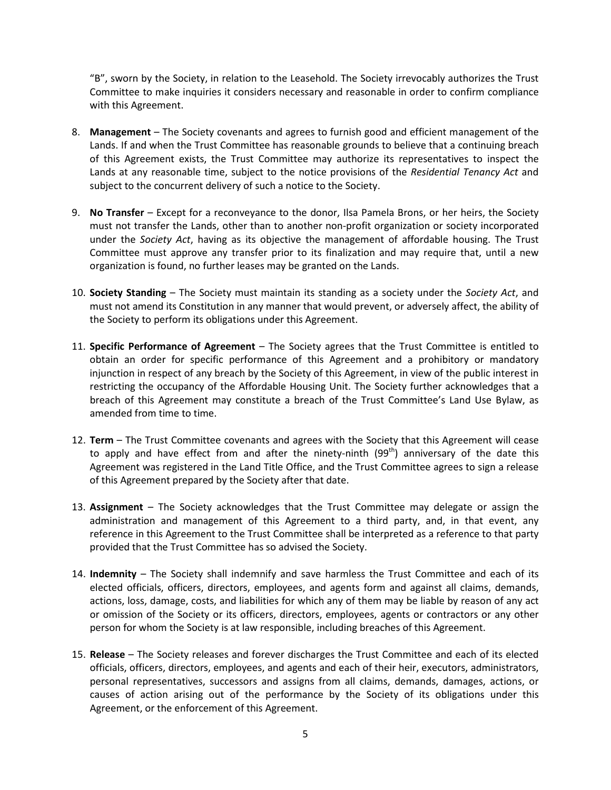"B", sworn by the Society, in relation to the Leasehold. The Society irrevocably authorizes the Trust Committee to make inquiries it considers necessary and reasonable in order to confirm compliance with this Agreement.

- 8. **Management** The Society covenants and agrees to furnish good and efficient management of the Lands. If and when the Trust Committee has reasonable grounds to believe that a continuing breach of this Agreement exists, the Trust Committee may authorize its representatives to inspect the Lands at any reasonable time, subject to the notice provisions of the *Residential Tenancy Act* and subject to the concurrent delivery of such a notice to the Society.
- 9. **No Transfer**  Except for a reconveyance to the donor, Ilsa Pamela Brons, or her heirs, the Society must not transfer the Lands, other than to another non-profit organization or society incorporated under the *Society Act*, having as its objective the management of affordable housing. The Trust Committee must approve any transfer prior to its finalization and may require that, until a new organization is found, no further leases may be granted on the Lands.
- 10. **Society Standing** The Society must maintain its standing as a society under the *Society Act*, and must not amend its Constitution in any manner that would prevent, or adversely affect, the ability of the Society to perform its obligations under this Agreement.
- 11. **Specific Performance of Agreement** The Society agrees that the Trust Committee is entitled to obtain an order for specific performance of this Agreement and a prohibitory or mandatory injunction in respect of any breach by the Society of this Agreement, in view of the public interest in restricting the occupancy of the Affordable Housing Unit. The Society further acknowledges that a breach of this Agreement may constitute a breach of the Trust Committee's Land Use Bylaw, as amended from time to time.
- 12. **Term** The Trust Committee covenants and agrees with the Society that this Agreement will cease to apply and have effect from and after the ninety-ninth (99<sup>th</sup>) anniversary of the date this Agreement was registered in the Land Title Office, and the Trust Committee agrees to sign a release of this Agreement prepared by the Society after that date.
- 13. **Assignment** The Society acknowledges that the Trust Committee may delegate or assign the administration and management of this Agreement to a third party, and, in that event, any reference in this Agreement to the Trust Committee shall be interpreted as a reference to that party provided that the Trust Committee has so advised the Society.
- 14. **Indemnity** The Society shall indemnify and save harmless the Trust Committee and each of its elected officials, officers, directors, employees, and agents form and against all claims, demands, actions, loss, damage, costs, and liabilities for which any of them may be liable by reason of any act or omission of the Society or its officers, directors, employees, agents or contractors or any other person for whom the Society is at law responsible, including breaches of this Agreement.
- 15. **Release** The Society releases and forever discharges the Trust Committee and each of its elected officials, officers, directors, employees, and agents and each of their heir, executors, administrators, personal representatives, successors and assigns from all claims, demands, damages, actions, or causes of action arising out of the performance by the Society of its obligations under this Agreement, or the enforcement of this Agreement.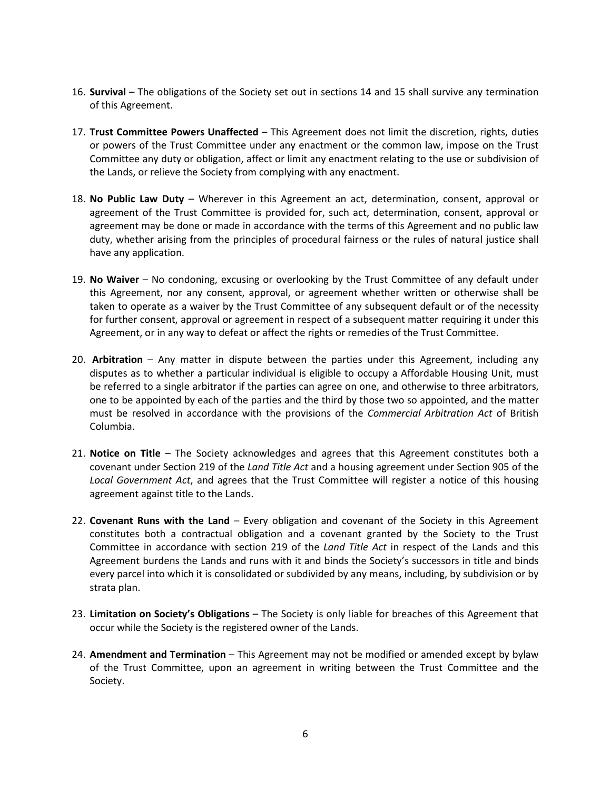- 16. **Survival** The obligations of the Society set out in sections 14 and 15 shall survive any termination of this Agreement.
- 17. **Trust Committee Powers Unaffected** This Agreement does not limit the discretion, rights, duties or powers of the Trust Committee under any enactment or the common law, impose on the Trust Committee any duty or obligation, affect or limit any enactment relating to the use or subdivision of the Lands, or relieve the Society from complying with any enactment.
- 18. **No Public Law Duty** Wherever in this Agreement an act, determination, consent, approval or agreement of the Trust Committee is provided for, such act, determination, consent, approval or agreement may be done or made in accordance with the terms of this Agreement and no public law duty, whether arising from the principles of procedural fairness or the rules of natural justice shall have any application.
- 19. **No Waiver** No condoning, excusing or overlooking by the Trust Committee of any default under this Agreement, nor any consent, approval, or agreement whether written or otherwise shall be taken to operate as a waiver by the Trust Committee of any subsequent default or of the necessity for further consent, approval or agreement in respect of a subsequent matter requiring it under this Agreement, or in any way to defeat or affect the rights or remedies of the Trust Committee.
- 20. **Arbitration**  Any matter in dispute between the parties under this Agreement, including any disputes as to whether a particular individual is eligible to occupy a Affordable Housing Unit, must be referred to a single arbitrator if the parties can agree on one, and otherwise to three arbitrators, one to be appointed by each of the parties and the third by those two so appointed, and the matter must be resolved in accordance with the provisions of the *Commercial Arbitration Act* of British Columbia.
- 21. **Notice on Title** The Society acknowledges and agrees that this Agreement constitutes both a covenant under Section 219 of the *Land Title Act* and a housing agreement under Section 905 of the *Local Government Act*, and agrees that the Trust Committee will register a notice of this housing agreement against title to the Lands.
- 22. **Covenant Runs with the Land** Every obligation and covenant of the Society in this Agreement constitutes both a contractual obligation and a covenant granted by the Society to the Trust Committee in accordance with section 219 of the *Land Title Act* in respect of the Lands and this Agreement burdens the Lands and runs with it and binds the Society's successors in title and binds every parcel into which it is consolidated or subdivided by any means, including, by subdivision or by strata plan.
- 23. **Limitation on Society's Obligations** The Society is only liable for breaches of this Agreement that occur while the Society is the registered owner of the Lands.
- 24. **Amendment and Termination** This Agreement may not be modified or amended except by bylaw of the Trust Committee, upon an agreement in writing between the Trust Committee and the Society.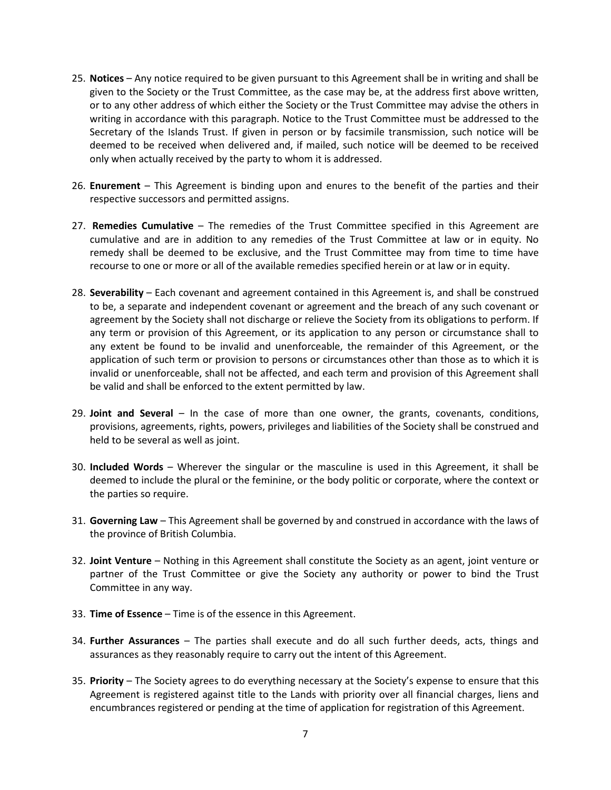- 25. **Notices**  Any notice required to be given pursuant to this Agreement shall be in writing and shall be given to the Society or the Trust Committee, as the case may be, at the address first above written, or to any other address of which either the Society or the Trust Committee may advise the others in writing in accordance with this paragraph. Notice to the Trust Committee must be addressed to the Secretary of the Islands Trust. If given in person or by facsimile transmission, such notice will be deemed to be received when delivered and, if mailed, such notice will be deemed to be received only when actually received by the party to whom it is addressed.
- 26. **Enurement** This Agreement is binding upon and enures to the benefit of the parties and their respective successors and permitted assigns.
- 27. **Remedies Cumulative** The remedies of the Trust Committee specified in this Agreement are cumulative and are in addition to any remedies of the Trust Committee at law or in equity. No remedy shall be deemed to be exclusive, and the Trust Committee may from time to time have recourse to one or more or all of the available remedies specified herein or at law or in equity.
- 28. **Severability**  Each covenant and agreement contained in this Agreement is, and shall be construed to be, a separate and independent covenant or agreement and the breach of any such covenant or agreement by the Society shall not discharge or relieve the Society from its obligations to perform. If any term or provision of this Agreement, or its application to any person or circumstance shall to any extent be found to be invalid and unenforceable, the remainder of this Agreement, or the application of such term or provision to persons or circumstances other than those as to which it is invalid or unenforceable, shall not be affected, and each term and provision of this Agreement shall be valid and shall be enforced to the extent permitted by law.
- 29. **Joint and Several** In the case of more than one owner, the grants, covenants, conditions, provisions, agreements, rights, powers, privileges and liabilities of the Society shall be construed and held to be several as well as joint.
- 30. **Included Words** Wherever the singular or the masculine is used in this Agreement, it shall be deemed to include the plural or the feminine, or the body politic or corporate, where the context or the parties so require.
- 31. **Governing Law** This Agreement shall be governed by and construed in accordance with the laws of the province of British Columbia.
- 32. **Joint Venture** Nothing in this Agreement shall constitute the Society as an agent, joint venture or partner of the Trust Committee or give the Society any authority or power to bind the Trust Committee in any way.
- 33. **Time of Essence**  Time is of the essence in this Agreement.
- 34. **Further Assurances** The parties shall execute and do all such further deeds, acts, things and assurances as they reasonably require to carry out the intent of this Agreement.
- 35. **Priority**  The Society agrees to do everything necessary at the Society's expense to ensure that this Agreement is registered against title to the Lands with priority over all financial charges, liens and encumbrances registered or pending at the time of application for registration of this Agreement.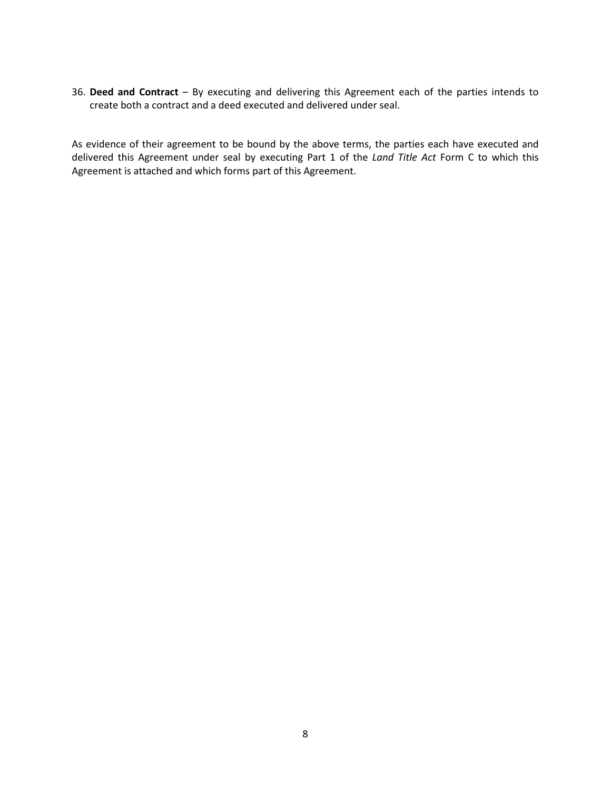36. **Deed and Contract** – By executing and delivering this Agreement each of the parties intends to create both a contract and a deed executed and delivered under seal.

As evidence of their agreement to be bound by the above terms, the parties each have executed and delivered this Agreement under seal by executing Part 1 of the *Land Title Act* Form C to which this Agreement is attached and which forms part of this Agreement.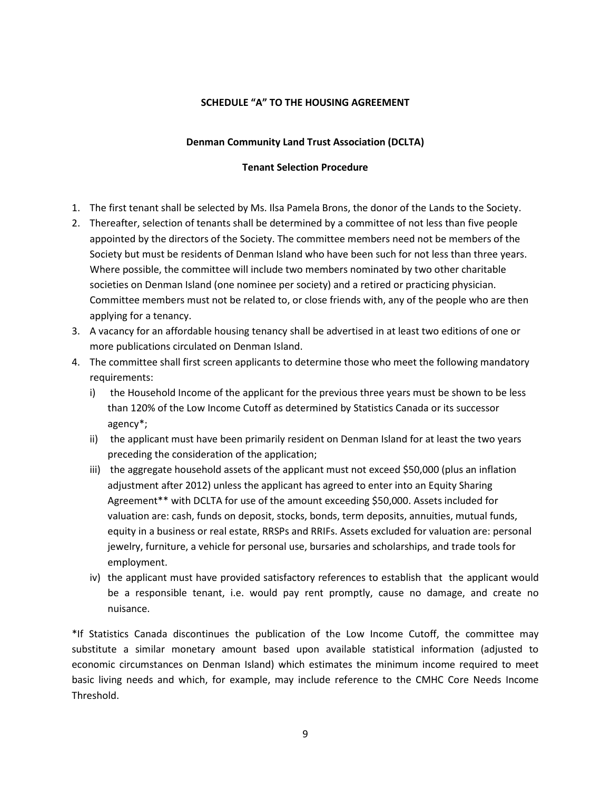# **SCHEDULE "A" TO THE HOUSING AGREEMENT**

## **Denman Community Land Trust Association (DCLTA)**

## **Tenant Selection Procedure**

- 1. The first tenant shall be selected by Ms. Ilsa Pamela Brons, the donor of the Lands to the Society.
- 2. Thereafter, selection of tenants shall be determined by a committee of not less than five people appointed by the directors of the Society. The committee members need not be members of the Society but must be residents of Denman Island who have been such for not less than three years. Where possible, the committee will include two members nominated by two other charitable societies on Denman Island (one nominee per society) and a retired or practicing physician. Committee members must not be related to, or close friends with, any of the people who are then applying for a tenancy.
- 3. A vacancy for an affordable housing tenancy shall be advertised in at least two editions of one or more publications circulated on Denman Island.
- 4. The committee shall first screen applicants to determine those who meet the following mandatory requirements:
	- i) the Household Income of the applicant for the previous three years must be shown to be less than 120% of the Low Income Cutoff as determined by Statistics Canada or its successor agency\*;
	- ii) the applicant must have been primarily resident on Denman Island for at least the two years preceding the consideration of the application;
	- iii) the aggregate household assets of the applicant must not exceed \$50,000 (plus an inflation adjustment after 2012) unless the applicant has agreed to enter into an Equity Sharing Agreement\*\* with DCLTA for use of the amount exceeding \$50,000. Assets included for valuation are: cash, funds on deposit, stocks, bonds, term deposits, annuities, mutual funds, equity in a business or real estate, RRSPs and RRIFs. Assets excluded for valuation are: personal jewelry, furniture, a vehicle for personal use, bursaries and scholarships, and trade tools for employment.
	- iv) the applicant must have provided satisfactory references to establish that the applicant would be a responsible tenant, i.e. would pay rent promptly, cause no damage, and create no nuisance.

\*If Statistics Canada discontinues the publication of the Low Income Cutoff, the committee may substitute a similar monetary amount based upon available statistical information (adjusted to economic circumstances on Denman Island) which estimates the minimum income required to meet basic living needs and which, for example, may include reference to the CMHC Core Needs Income Threshold.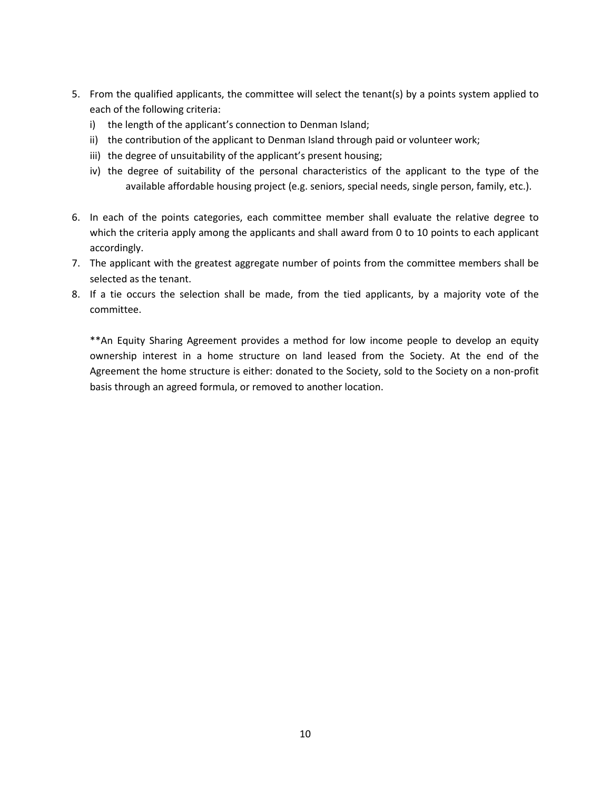- 5. From the qualified applicants, the committee will select the tenant(s) by a points system applied to each of the following criteria:
	- i) the length of the applicant's connection to Denman Island;
	- ii) the contribution of the applicant to Denman Island through paid or volunteer work;
	- iii) the degree of unsuitability of the applicant's present housing;
	- iv) the degree of suitability of the personal characteristics of the applicant to the type of the available affordable housing project (e.g. seniors, special needs, single person, family, etc.).
- 6. In each of the points categories, each committee member shall evaluate the relative degree to which the criteria apply among the applicants and shall award from 0 to 10 points to each applicant accordingly.
- 7. The applicant with the greatest aggregate number of points from the committee members shall be selected as the tenant.
- 8. If a tie occurs the selection shall be made, from the tied applicants, by a majority vote of the committee.

\*\*An Equity Sharing Agreement provides a method for low income people to develop an equity ownership interest in a home structure on land leased from the Society. At the end of the Agreement the home structure is either: donated to the Society, sold to the Society on a non-profit basis through an agreed formula, or removed to another location.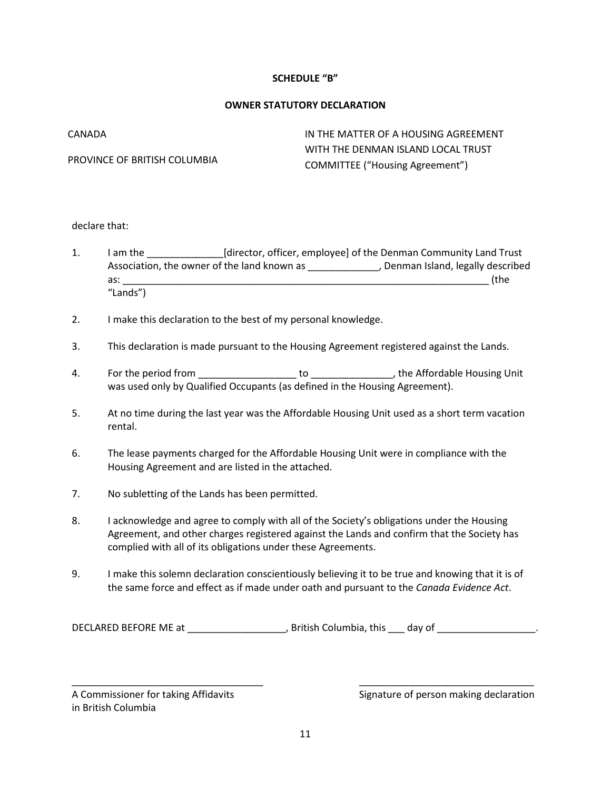# **SCHEDULE "B"**

### **OWNER STATUTORY DECLARATION**

| CANADA                       | IN THE MATTER OF A HOUSING AGREEMENT   |
|------------------------------|----------------------------------------|
| PROVINCE OF BRITISH COLUMBIA | WITH THE DENMAN ISLAND LOCAL TRUST     |
|                              | <b>COMMITTEE ("Housing Agreement")</b> |

#### declare that:

- 1. I am the [director, officer, employee] of the Denman Community Land Trust Association, the owner of the land known as \_\_\_\_\_\_\_\_\_\_\_\_\_, Denman Island, legally described as:  $\Box$ "Lands")
- 2. I make this declaration to the best of my personal knowledge.
- 3. This declaration is made pursuant to the Housing Agreement registered against the Lands.
- 4. For the period from \_\_\_\_\_\_\_\_\_\_\_\_\_\_\_\_\_\_ to \_\_\_\_\_\_\_\_\_\_\_\_\_\_\_, the Affordable Housing Unit was used only by Qualified Occupants (as defined in the Housing Agreement).
- 5. At no time during the last year was the Affordable Housing Unit used as a short term vacation rental.
- 6. The lease payments charged for the Affordable Housing Unit were in compliance with the Housing Agreement and are listed in the attached.
- 7. No subletting of the Lands has been permitted.
- 8. I acknowledge and agree to comply with all of the Society's obligations under the Housing Agreement, and other charges registered against the Lands and confirm that the Society has complied with all of its obligations under these Agreements.
- 9. I make this solemn declaration conscientiously believing it to be true and knowing that it is of the same force and effect as if made under oath and pursuant to the *Canada Evidence Act*.

DECLARED BEFORE ME at \_\_\_\_\_\_\_\_\_\_\_\_\_\_\_\_\_, British Columbia, this \_\_\_ day of \_\_\_\_\_\_\_\_\_\_\_\_\_\_\_\_.

\_\_\_\_\_\_\_\_\_\_\_\_\_\_\_\_\_\_\_\_\_\_\_\_\_\_\_\_\_\_\_\_\_\_\_ \_\_\_\_\_\_\_\_\_\_\_\_\_\_\_\_\_\_\_\_\_\_\_\_\_\_\_\_\_\_\_\_

in British Columbia

A Commissioner for taking Affidavits Signature of person making declaration